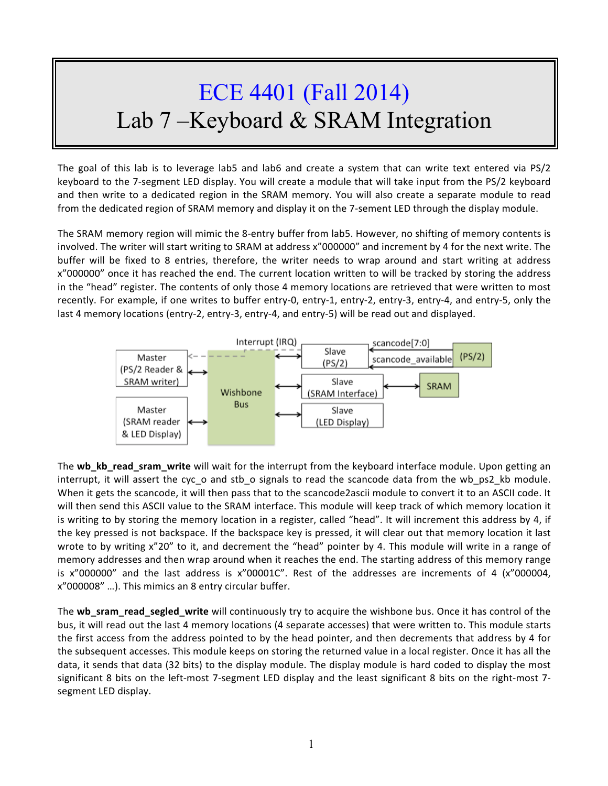## ECE 4401 (Fall 2014) Lab 7 –Keyboard & SRAM Integration

The goal of this lab is to leverage lab5 and lab6 and create a system that can write text entered via PS/2 keyboard to the 7-segment LED display. You will create a module that will take input from the PS/2 keyboard and then write to a dedicated region in the SRAM memory. You will also create a separate module to read from the dedicated region of SRAM memory and display it on the 7-sement LED through the display module.

The SRAM memory region will mimic the 8-entry buffer from lab5. However, no shifting of memory contents is involved. The writer will start writing to SRAM at address x"000000" and increment by 4 for the next write. The buffer will be fixed to 8 entries, therefore, the writer needs to wrap around and start writing at address x"000000" once it has reached the end. The current location written to will be tracked by storing the address in the "head" register. The contents of only those 4 memory locations are retrieved that were written to most recently. For example, if one writes to buffer entry-0, entry-1, entry-2, entry-3, entry-4, and entry-5, only the last 4 memory locations (entry-2, entry-3, entry-4, and entry-5) will be read out and displayed.



The **wb** kb read sram write will wait for the interrupt from the keyboard interface module. Upon getting an interrupt, it will assert the cyc\_o and stb\_o signals to read the scancode data from the wb\_ps2\_kb module. When it gets the scancode, it will then pass that to the scancode2ascii module to convert it to an ASCII code. It will then send this ASCII value to the SRAM interface. This module will keep track of which memory location it is writing to by storing the memory location in a register, called "head". It will increment this address by 4, if the key pressed is not backspace. If the backspace key is pressed, it will clear out that memory location it last wrote to by writing x"20" to it, and decrement the "head" pointer by 4. This module will write in a range of memory addresses and then wrap around when it reaches the end. The starting address of this memory range is  $x''000000''$  and the last address is  $x''00001C''$ . Rest of the addresses are increments of 4 ( $x''000004$ , x"000008" ...). This mimics an 8 entry circular buffer.

The **wb\_sram\_read\_segled\_write** will continuously try to acquire the wishbone bus. Once it has control of the bus, it will read out the last 4 memory locations (4 separate accesses) that were written to. This module starts the first access from the address pointed to by the head pointer, and then decrements that address by 4 for the subsequent accesses. This module keeps on storing the returned value in a local register. Once it has all the data, it sends that data (32 bits) to the display module. The display module is hard coded to display the most significant 8 bits on the left-most 7-segment LED display and the least significant 8 bits on the right-most 7segment LED display.